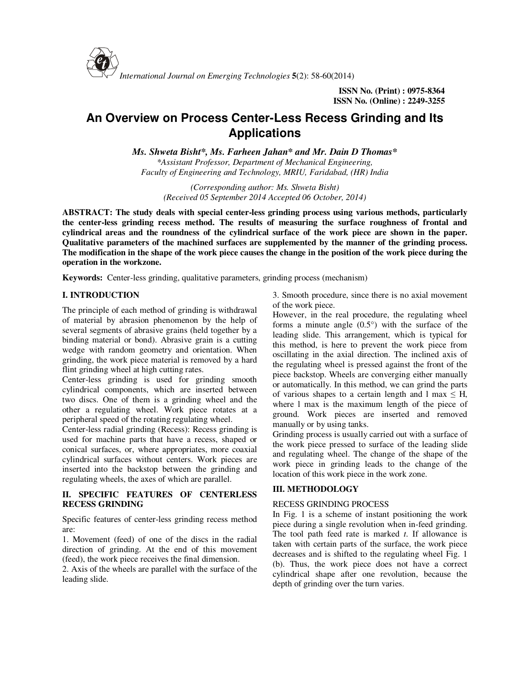

*International Journal on Emerging Technologies* **5**(2): 58-60(2014)

**ISSN No. (Print) : 0975-8364 ISSN No. (Online) : 2249-3255** 

# **An Overview on Process Center-Less Recess Grinding and Its Applications**

*Ms. Shweta Bisht\*, Ms. Farheen Jahan\* and Mr. Dain D Thomas\**

*\*Assistant Professor, Department of Mechanical Engineering, Faculty of Engineering and Technology, MRIU, Faridabad, (HR) India* 

*(Corresponding author: Ms. Shweta Bisht) (Received 05 September 2014 Accepted 06 October, 2014)* 

**ABSTRACT: The study deals with special center-less grinding process using various methods, particularly the center-less grinding recess method. The results of measuring the surface roughness of frontal and cylindrical areas and the roundness of the cylindrical surface of the work piece are shown in the paper. Qualitative parameters of the machined surfaces are supplemented by the manner of the grinding process. The modification in the shape of the work piece causes the change in the position of the work piece during the operation in the workzone.**

**Keywords:** Center-less grinding, qualitative parameters, grinding process (mechanism)

## **I. INTRODUCTION**

The principle of each method of grinding is withdrawal of material by abrasion phenomenon by the help of several segments of abrasive grains (held together by a binding material or bond). Abrasive grain is a cutting wedge with random geometry and orientation. When grinding, the work piece material is removed by a hard flint grinding wheel at high cutting rates.

Center-less grinding is used for grinding smooth cylindrical components, which are inserted between two discs. One of them is a grinding wheel and the other a regulating wheel. Work piece rotates at a peripheral speed of the rotating regulating wheel.

Center-less radial grinding (Recess): Recess grinding is used for machine parts that have a recess, shaped or conical surfaces, or, where appropriates, more coaxial cylindrical surfaces without centers. Work pieces are inserted into the backstop between the grinding and regulating wheels, the axes of which are parallel.

## **II. SPECIFIC FEATURES OF CENTERLESS RECESS GRINDING**

Specific features of center-less grinding recess method are:

1. Movement (feed) of one of the discs in the radial direction of grinding. At the end of this movement (feed), the work piece receives the final dimension.

2. Axis of the wheels are parallel with the surface of the leading slide.

3. Smooth procedure, since there is no axial movement of the work piece.

However, in the real procedure, the regulating wheel forms a minute angle  $(0.5^{\circ})$  with the surface of the leading slide. This arrangement, which is typical for this method, is here to prevent the work piece from oscillating in the axial direction. The inclined axis of the regulating wheel is pressed against the front of the piece backstop. Wheels are converging either manually or automatically. In this method, we can grind the parts of various shapes to a certain length and l max  $\leq$  H, where l max is the maximum length of the piece of ground. Work pieces are inserted and removed manually or by using tanks.

Grinding process is usually carried out with a surface of the work piece pressed to surface of the leading slide and regulating wheel. The change of the shape of the work piece in grinding leads to the change of the location of this work piece in the work zone.

## **III. METHODOLOGY**

## RECESS GRINDING PROCESS

In Fig. 1 is a scheme of instant positioning the work piece during a single revolution when in-feed grinding. The tool path feed rate is marked *t*. If allowance is taken with certain parts of the surface, the work piece decreases and is shifted to the regulating wheel Fig. 1 (b). Thus, the work piece does not have a correct cylindrical shape after one revolution, because the depth of grinding over the turn varies.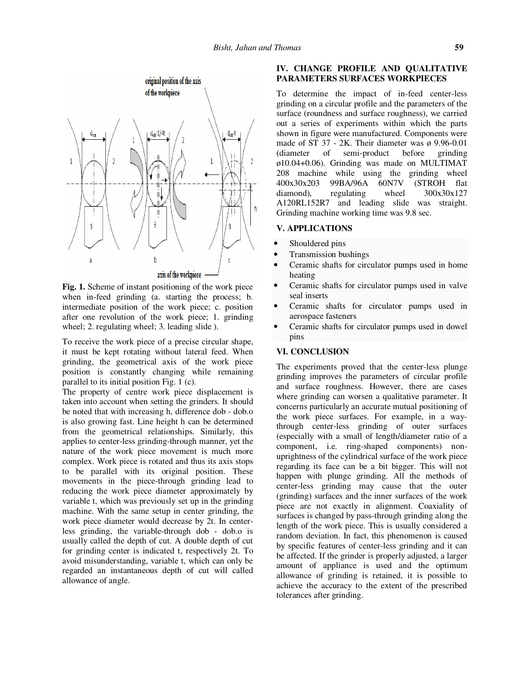

**Fig. 1.** Scheme of instant positioning of the work piece when in-feed grinding (a. starting the process; b. intermediate position of the work piece; c. position after one revolution of the work piece; 1. grinding wheel; 2. regulating wheel; 3. leading slide ).

To receive the work piece of a precise circular shape, it must be kept rotating without lateral feed. When grinding, the geometrical axis of the work piece position is constantly changing while remaining parallel to its initial position Fig. 1 (c).

The property of centre work piece displacement is taken into account when setting the grinders. It should be noted that with increasing h, difference dob - dob.o is also growing fast. Line height h can be determined from the geometrical relationships. Similarly, this applies to center-less grinding-through manner, yet the nature of the work piece movement is much more complex. Work piece is rotated and thus its axis stops to be parallel with its original position. These movements in the piece-through grinding lead to reducing the work piece diameter approximately by variable t, which was previously set up in the grinding machine. With the same setup in center grinding, the work piece diameter would decrease by 2t. In centerless grinding, the variable-through dob - dob.o is usually called the depth of cut. A double depth of cut for grinding center is indicated t, respectively 2t. To avoid misunderstanding, variable t, which can only be regarded an instantaneous depth of cut will called allowance of angle.

### **IV. CHANGE PROFILE AND QUALITATIVE PARAMETERS SURFACES WORKPIECES**

To determine the impact of in-feed center-less grinding on a circular profile and the parameters of the surface (roundness and surface roughness), we carried out a series of experiments within which the parts shown in figure were manufactured. Components were made of ST  $37 - 2K$ . Their diameter was  $\phi$  9.96-0.01 (diameter of semi-product before grinding ø10.04+0.06). Grinding was made on MULTIMAT 208 machine while using the grinding wheel 400x30x203 99BA/96A 60N7V (STROH flat diamond), regulating wheel 300x30x127 diamond), regulating wheel  $300x30x127$ A120RL152R7 and leading slide was straight. Grinding machine working time was 9.8 sec.

## **V. APPLICATIONS**

- Shouldered pins
- Transmission bushings
- Ceramic shafts for circulator pumps used in home heating
- Ceramic shafts for circulator pumps used in valve seal inserts
- Ceramic shafts for circulator pumps used in aerospace fasteners
- Ceramic shafts for circulator pumps used in dowel pins

### **VI. CONCLUSION**

The experiments proved that the center-less plunge grinding improves the parameters of circular profile and surface roughness. However, there are cases where grinding can worsen a qualitative parameter. It concerns particularly an accurate mutual positioning of the work piece surfaces. For example, in a waythrough center-less grinding of outer surfaces (especially with a small of length/diameter ratio of a component, i.e. ring-shaped components) nonuprightness of the cylindrical surface of the work piece regarding its face can be a bit bigger. This will not happen with plunge grinding. All the methods of center-less grinding may cause that the outer (grinding) surfaces and the inner surfaces of the work piece are not exactly in alignment. Coaxiality of surfaces is changed by pass-through grinding along the length of the work piece. This is usually considered a random deviation. In fact, this phenomenon is caused by specific features of center-less grinding and it can be affected. If the grinder is properly adjusted, a larger amount of appliance is used and the optimum allowance of grinding is retained, it is possible to achieve the accuracy to the extent of the prescribed tolerances after grinding.